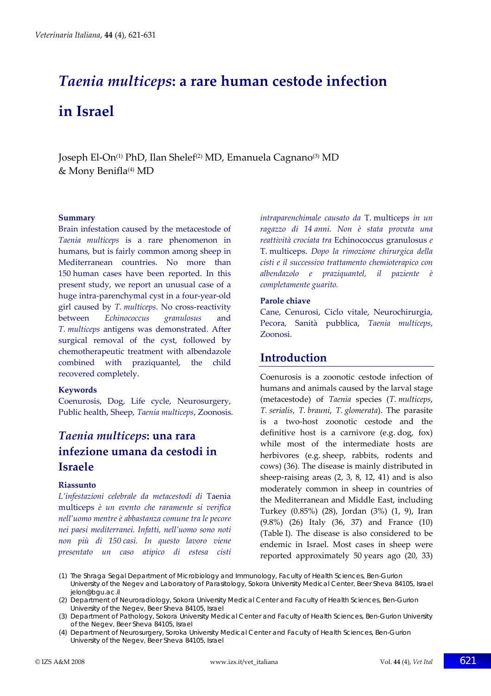# *Taenia multiceps***: a rare human cestode infection in Israel**

Joseph El-On<sup>(1)</sup> PhD, Ilan Shelef<sup>(2)</sup> MD, Emanuela Cagnano<sup>(3)</sup> MD & Mony Benifla<sup>(4)</sup> MD

#### **Summary**

Brain infestation caused by the metacestode of *Taenia multiceps* is a rare phenomenon in humans, but is fairly common among sheep in Mediterranean countries. No more than 150 human cases have been reported. In this present study, we report an unusual case of a huge intra‐parenchymal cyst in a four‐year‐old girl caused by *T. multiceps*. No cross‐reactivity between *Echinococcus granulosus* and *T. multiceps* antigens was demonstrated. After surgical removal of the cyst, followed by chemotherapeutic treatment with albendazole combined with praziquantel, the child recovered completely.

#### **Keywords**

Coenurosis, Dog, Life cycle, Neurosurgery, Public health, Sheep, *Taenia multiceps*, Zoonosis.

# *Taenia multiceps***: una rara infezione umana da cestodi in Israele**

#### **Riassunto**

*L'infestazioni celebrale da metacestodi di* Taenia multiceps *è un evento che raramente si verifica nell'uomo mentre è abbastanza comune tra le pecore nei paesi mediterranei. Infatti, nell'uomo sono noti non più di 150 casi. In questo lavoro viene presentato un caso atipico di estesa cisti* *intraparenchimale causato da* T. multiceps *in un ragazzo di 14 anni. Non è stata provata una reattività crociata tra* Echinococcus granulosus *e* T. multiceps. *Dopo la rimozione chirurgica della cisti e il successivo trattamento chemioterapico con albendazolo e praziquantel, il paziente è completamente guarito.*

#### **Parole chiave**

Cane, Cenurosi, Ciclo vitale, Neurochirurgia, Pecora, Sanità pubblica, *Taenia multiceps*, Zoonosi.

# **Introduction**

Coenurosis is a zoonotic cestode infection of humans and animals caused by the larval stage (metacestode) of *Taenia* species (*T. multiceps*, *T. serialis*, *T. brauni*, *T. glomerata*). The parasite is a two‐host zoonotic cestode and the definitive host is a carnivore (e.g. dog, fox) while most of the intermediate hosts are herbivores (e.g. sheep, rabbits, rodents and cows) (36). The disease is mainly distributed in sheep-raising areas  $(2, 3, 8, 12, 41)$  and is also moderately common in sheep in countries of the Mediterranean and Middle East, including Turkey (0.85%) (28), Jordan (3%) (1, 9), Iran (9.8%) (26) Italy (36, 37) and France (10) (Table I). The disease is also considered to be endemic in Israel. Most cases in sheep were reported approximately 50 years ago (20, 33)

- (1) The Shraga Segal Department of Microbiology and Immunology, Faculty of Health Sciences, Ben-Gurion University of the Negev and Laboratory of Parasitology, Sokora University Medical Center, Beer Sheva 84105, Israel jelon@bgu.ac.il
- (2) Department of Neuroradiology, Sokora University Medical Center and Faculty of Health Sciences, Ben-Gurion University of the Negev, Beer Sheva 84105, Israel
- (3) Department of Pathology, Sokora University Medical Center and Faculty of Health Sciences, Ben-Gurion University of the Negev, Beer Sheva 84105, Israel
- (4) Department of Neurosurgery, Soroka University Medical Center and Faculty of Health Sciences, Ben-Gurion University of the Negev, Beer Sheva 84105, Israel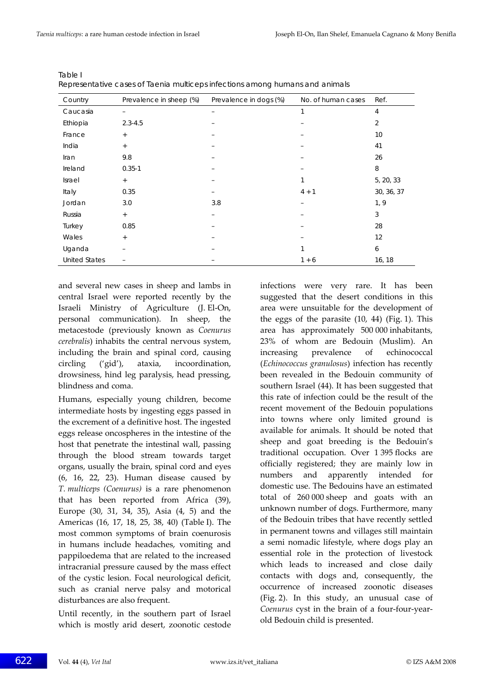| Country              | Prevalence in sheep (%) | Prevalence in dogs (%) | No. of human cases | Ref.           |
|----------------------|-------------------------|------------------------|--------------------|----------------|
| Caucasia             |                         | -                      | 1                  | 4              |
| Ethiopia             | $2.3 - 4.5$             |                        |                    | $\overline{2}$ |
| France               | $+$                     |                        |                    | 10             |
| India                | $+$                     |                        |                    | 41             |
| Iran                 | 9.8                     |                        |                    | 26             |
| Ireland              | $0.35 - 1$              |                        |                    | 8              |
| Israel               | $+$                     | -                      |                    | 5, 20, 33      |
| Italy                | 0.35                    |                        | $4 + 1$            | 30, 36, 37     |
| Jordan               | 3.0                     | 3.8                    |                    | 1, 9           |
| Russia               | $+$                     |                        |                    | 3              |
| Turkey               | 0.85                    |                        |                    | 28             |
| Wales                | $+$                     |                        |                    | 12             |
| Uganda               |                         |                        | 1                  | 6              |
| <b>United States</b> |                         |                        | $1 + 6$            | 16, 18         |

Table I Representative cases of *Taenia multiceps* infections among humans and animals

and several new cases in sheep and lambs in central Israel were reported recently by the Israeli Ministry of Agriculture (J. El‐On, personal communication). In sheep, the metacestode (previously known as *Coenurus cerebralis*) inhabits the central nervous system, including the brain and spinal cord, causing circling ('gid'), ataxia, incoordination, drowsiness, hind leg paralysis, head pressing, blindness and coma.

Humans, especially young children, become intermediate hosts by ingesting eggs passed in the excrement of a definitive host. The ingested eggs release oncospheres in the intestine of the host that penetrate the intestinal wall, passing through the blood stream towards target organs, usually the brain, spinal cord and eyes (6, 16, 22, 23). Human disease caused by *T. multiceps (Coenurus)* is a rare phenomenon that has been reported from Africa (39), Europe (30, 31, 34, 35), Asia (4, 5) and the Americas (16, 17, 18, 25, 38, 40) (Table I). The most common symptoms of brain coenurosis in humans include headaches, vomiting and pappiloedema that are related to the increased intracranial pressure caused by the mass effect of the cystic lesion. Focal neurological deficit, such as cranial nerve palsy and motorical disturbances are also frequent.

Until recently, in the southern part of Israel which is mostly arid desert, zoonotic cestode

infections were very rare. It has been suggested that the desert conditions in this area were unsuitable for the development of the eggs of the parasite (10, 44) (Fig. 1). This area has approximately 500 000 inhabitants, 23% of whom are Bedouin (Muslim). An increasing prevalence of echinococcal (*Echinococcus granulosus*) infection has recently been revealed in the Bedouin community of southern Israel (44). It has been suggested that this rate of infection could be the result of the recent movement of the Bedouin populations into towns where only limited ground is available for animals. It should be noted that sheep and goat breeding is the Bedouin's traditional occupation. Over 1 395 flocks are officially registered; they are mainly low in numbers and apparently intended for domestic use. The Bedouins have an estimated total of 260 000 sheep and goats with an unknown number of dogs. Furthermore, many of the Bedouin tribes that have recently settled in permanent towns and villages still maintain a semi nomadic lifestyle, where dogs play an essential role in the protection of livestock which leads to increased and close daily contacts with dogs and, consequently, the occurrence of increased zoonotic diseases (Fig. 2). In this study, an unusual case of *Coenurus* cyst in the brain of a four‐four‐year‐ old Bedouin child is presented.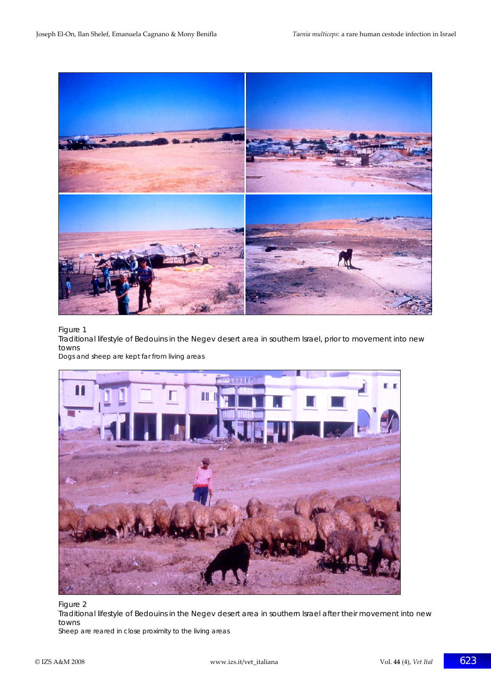

#### Figure 1

Traditional lifestyle of Bedouins in the Negev desert area in southern Israel, prior to movement into new towns

Dogs and sheep are kept far from living areas



Figure 2 Traditional lifestyle of Bedouins in the Negev desert area in southern Israel after their movement into new towns Sheep are reared in close proximity to the living areas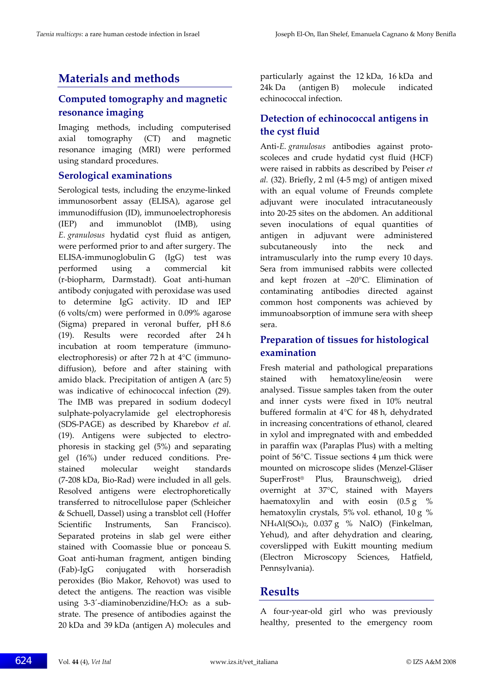# **Materials and methods**

## **Computed tomography and magnetic resonance imaging**

Imaging methods, including computerised axial tomography (CT) and magnetic resonance imaging (MRI) were performed using standard procedures.

#### **Serological examinations**

Serological tests, including the enzyme-linked immunosorbent assay (ELISA), agarose gel immunodiffusion (ID), immunoelectrophoresis (IEP) and immunoblot (IMB), using *E. granulosus* hydatid cyst fluid as antigen, were performed prior to and after surgery. The ELISA‐immunoglobulin G (IgG) test was performed using a commercial kit (r‐biopharm, Darmstadt). Goat anti‐human antibody conjugated with peroxidase was used to determine IgG activity. ID and IEP (6 volts/cm) were performed in 0.09% agarose (Sigma) prepared in veronal buffer, pH 8.6 (19). Results were recorded after 24 h incubation at room temperature (immuno‐ electrophoresis) or after 72 h at 4°C (immuno‐ diffusion), before and after staining with amido black. Precipitation of antigen A (arc 5) was indicative of echinococcal infection (29). The IMB was prepared in sodium dodecyl sulphate‐polyacrylamide gel electrophoresis (SDS‐PAGE) as described by Kharebov *et al.* (19). Antigens were subjected to electrophoresis in stacking gel (5%) and separating gel (16%) under reduced conditions. Pre‐ stained molecular weight standards (7‐208 kDa, Bio‐Rad) were included in all gels. Resolved antigens were electrophoretically transferred to nitrocellulose paper (Schleicher & Schuell, Dassel) using a transblot cell (Hoffer Scientific Instruments, San Francisco). Separated proteins in slab gel were either stained with Coomassie blue or ponceau S. Goat anti‐human fragment, antigen binding (Fab)‐IgG conjugated with horseradish peroxides (Bio Makor, Rehovot) was used to detect the antigens. The reaction was visible using  $3-3'$ -diaminobenzidine/H<sub>2</sub>O<sub>2</sub> as a substrate. The presence of antibodies against the 20 kDa and 39 kDa (antigen A) molecules and particularly against the 12 kDa, 16 kDa and 24k Da (antigen B) molecule indicated echinococcal infection.

# **Detection of echinococcal antigens in the cyst fluid**

Anti‐*E. granulosus* antibodies against proto‐ scoleces and crude hydatid cyst fluid (HCF) were raised in rabbits as described by Peiser *et al.* (32). Briefly, 2 ml (4‐5 mg) of antigen mixed with an equal volume of Freunds complete adjuvant were inoculated intracutaneously into 20‐25 sites on the abdomen. An additional seven inoculations of equal quantities of antigen in adjuvant were administered subcutaneously into the neck and intramuscularly into the rump every 10 days. Sera from immunised rabbits were collected and kept frozen at –20°C. Elimination of contaminating antibodies directed against common host components was achieved by immunoabsorption of immune sera with sheep sera.

# **Preparation of tissues for histological examination**

Fresh material and pathological preparations stained with hematoxyline/eosin were analysed. Tissue samples taken from the outer and inner cysts were fixed in 10% neutral buffered formalin at 4°C for 48 h, dehydrated in increasing concentrations of ethanol, cleared in xylol and impregnated with and embedded in paraffin wax (Paraplas Plus) with a melting point of 56°C. Tissue sections 4 μm thick were mounted on microscope slides (Menzel‐Gläser SuperFrost® Plus, Braunschweig), dried overnight at 37°C, stained with Mayers haematoxylin and with eosin  $(0.5 g \degree \%)$ hematoxylin crystals, 5% vol. ethanol, 10 g % NH4Al(SO4)2, 0.037 g % NaIO) (Finkelman, Yehud), and after dehydration and clearing, coverslipped with Eukitt mounting medium (Electron Microscopy Sciences, Hatfield, Pennsylvania).

## **Results**

A four‐year‐old girl who was previously healthy, presented to the emergency room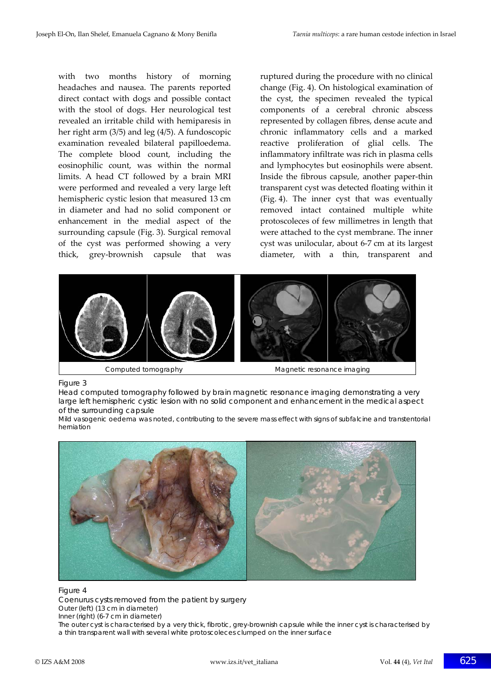with two months history of morning headaches and nausea. The parents reported direct contact with dogs and possible contact with the stool of dogs. Her neurological test revealed an irritable child with hemiparesis in her right arm (3/5) and leg (4/5). A fundoscopic examination revealed bilateral papilloedema. The complete blood count, including the eosinophilic count, was within the normal limits. A head CT followed by a brain MRI were performed and revealed a very large left hemispheric cystic lesion that measured 13 cm in diameter and had no solid component or enhancement in the medial aspect of the surrounding capsule (Fig. 3). Surgical removal of the cyst was performed showing a very thick, grey‐brownish capsule that was

ruptured during the procedure with no clinical change (Fig. 4). On histological examination of the cyst, the specimen revealed the typical components of a cerebral chronic abscess represented by collagen fibres, dense acute and chronic inflammatory cells and a marked reactive proliferation of glial cells. The inflammatory infiltrate was rich in plasma cells and lymphocytes but eosinophils were absent. Inside the fibrous capsule, another paper‐thin transparent cyst was detected floating within it (Fig. 4). The inner cyst that was eventually removed intact contained multiple white protoscoleces of few millimetres in length that were attached to the cyst membrane. The inner cyst was unilocular, about 6‐7 cm at its largest diameter, with a thin, transparent and



Figure 3

Head computed tomography followed by brain magnetic resonance imaging demonstrating a very large left hemispheric cystic lesion with no solid component and enhancement in the medical aspect of the surrounding capsule

Mild vasogenic oedema was noted, contributing to the severe mass effect with signs of subfalcine and transtentorial herniation



#### Figure 4

*Coenurus* cysts removed from the patient by surgery Outer (left) (13 cm in diameter)

Inner (right) (6-7 cm in diameter)

The outer cyst is characterised by a very thick, fibrotic, grey-brownish capsule while the inner cyst is characterised by a thin transparent wall with several white protoscoleces clumped on the inner surface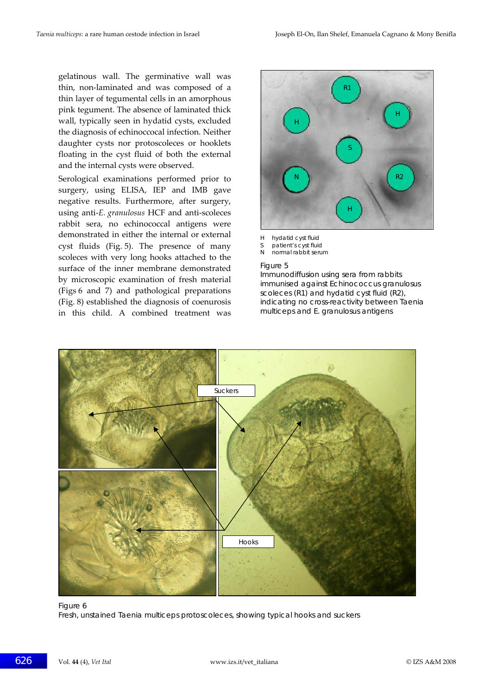gelatinous wall. The germinative wall was thin, non‐laminated and was composed of a thin layer of tegumental cells in an amorphous pink tegument. The absence of laminated thick wall, typically seen in hydatid cysts, excluded the diagnosis of echinoccocal infection. Neither daughter cysts nor protoscoleces or hooklets floating in the cyst fluid of both the external and the internal cysts were observed.

Serological examinations performed prior to surgery, using ELISA, IEP and IMB gave negative results. Furthermore, after surgery, using anti‐*E. granulosus* HCF and anti‐scoleces rabbit sera, no echinococcal antigens were demonstrated in either the internal or external cyst fluids (Fig. 5). The presence of many scoleces with very long hooks attached to the surface of the inner membrane demonstrated by microscopic examination of fresh material (Figs 6 and 7) and pathological preparations (Fig. 8) established the diagnosis of coenurosis in this child. A combined treatment was



- H hydatid cyst fluid
- S patient's cyst fluid
- N normal rabbit serum

#### Figure 5

Immunodiffusion using sera from rabbits immunised against *Echinococcus granulosus* scoleces (R1) and hydatid cyst fluid (R2), indicating no cross-reactivity between *Taenia multiceps* and *E. granulosus* antigens



Figure 6 Fresh, unstained *Taenia multiceps* protoscoleces, showing typical hooks and suckers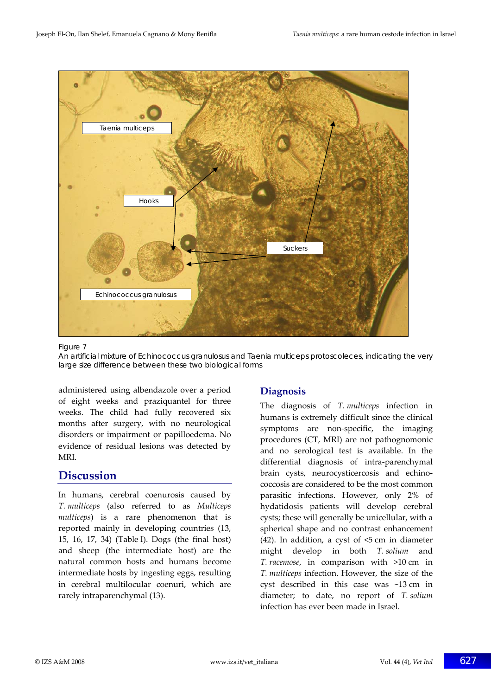

#### Figure 7

An artificial mixture of *Echinococcus granulosus* and *Taenia multiceps* protoscoleces, indicating the very large size difference between these two biological forms

administered using albendazole over a period of eight weeks and praziquantel for three weeks. The child had fully recovered six months after surgery, with no neurological disorders or impairment or papilloedema. No evidence of residual lesions was detected by MRI.

## **Discussion**

In humans, cerebral coenurosis caused by *T. multiceps* (also referred to as *Multiceps multiceps*) is a rare phenomenon that is reported mainly in developing countries (13, 15, 16, 17, 34) (Table I). Dogs (the final host) and sheep (the intermediate host) are the natural common hosts and humans become intermediate hosts by ingesting eggs, resulting in cerebral multilocular coenuri, which are rarely intraparenchymal (13).

## **Diagnosis**

The diagnosis of *T. multiceps* infection in humans is extremely difficult since the clinical symptoms are non-specific, the imaging procedures (CT, MRI) are not pathognomonic and no serological test is available. In the differential diagnosis of intra‐parenchymal brain cysts, neurocysticercosis and echino‐ coccosis are considered to be the most common parasitic infections. However, only 2% of hydatidosis patients will develop cerebral cysts; these will generally be unicellular, with a spherical shape and no contrast enhancement (42). In addition, a cyst of  $\leq$  cm in diameter might develop in both *T. solium* and *T. racemose*, in comparison with >10 cm in *T. multiceps* infection. However, the size of the cyst described in this case was ~13 cm in diameter; to date, no report of *T. solium* infection has ever been made in Israel.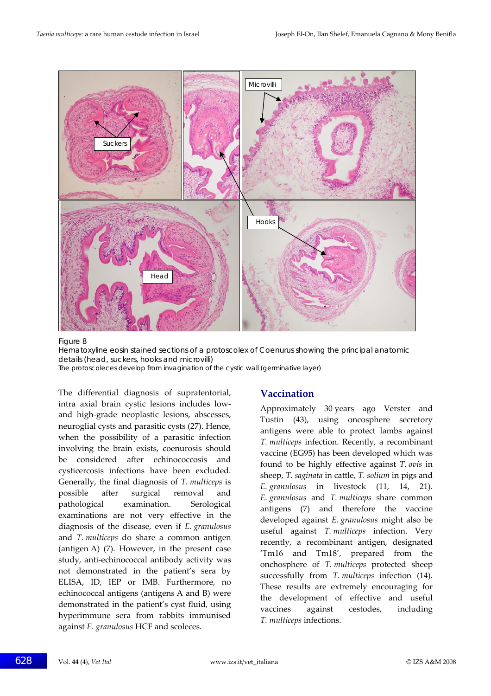

#### Figure 8

Hematoxyline eosin stained sections of a protoscolex of *Coenurus* showing the principal anatomic details (head, suckers, hooks and microvilli)

The protoscoleces develop from invagination of the cystic wall (germinative layer)

The differential diagnosis of supratentorial, intra axial brain cystic lesions includes low‐ and high‐grade neoplastic lesions, abscesses, neuroglial cysts and parasitic cysts (27). Hence, when the possibility of a parasitic infection involving the brain exists, coenurosis should be considered after echinococcosis and cysticercosis infections have been excluded. Generally, the final diagnosis of *T. multiceps* is possible after surgical removal and pathological examination. Serological examinations are not very effective in the diagnosis of the disease, even if *E. granulosus* and *T. multiceps* do share a common antigen (antigen A) (7). However, in the present case study, anti‐echinococcal antibody activity was not demonstrated in the patient's sera by ELISA, ID, IEP or IMB. Furthermore, no echinococcal antigens (antigens A and B) were demonstrated in the patient's cyst fluid, using hyperimmune sera from rabbits immunised against *E. granulosus* HCF and scoleces.

#### **Vaccination**

Approximately 30 years ago Verster and Tustin (43), using oncosphere secretory antigens were able to protect lambs against *T. multiceps* infection. Recently, a recombinant vaccine (EG95) has been developed which was found to be highly effective against *T. ovis* in sheep, *T. saginata* in cattle, *T. solium* in pigs and *E. granulosus* in livestock (11, 14, 21). *E. granulosus* and *T. multiceps* share common antigens (7) and therefore the vaccine developed against *E. granulosus* might also be useful against *T. multiceps* infection. Very recently, a recombinant antigen, designated 'Tm16 and Tm18', prepared from the onchosphere of *T. multiceps* protected sheep successfully from *T. multiceps* infection (14). These results are extremely encouraging for the development of effective and useful vaccines against cestodes, including *T. multiceps* infections.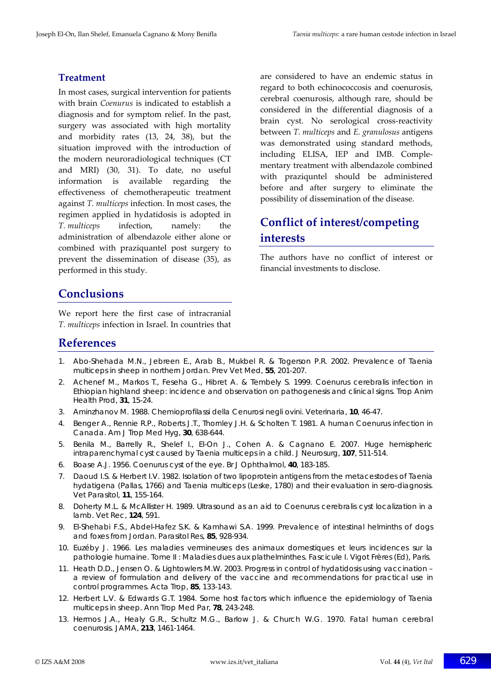#### **Treatment**

In most cases, surgical intervention for patients with brain *Coenurus* is indicated to establish a diagnosis and for symptom relief. In the past, surgery was associated with high mortality and morbidity rates (13, 24, 38), but the situation improved with the introduction of the modern neuroradiological techniques (CT and MRI) (30, 31). To date, no useful information is available regarding the effectiveness of chemotherapeutic treatment against *T. multiceps* infection. In most cases, the regimen applied in hydatidosis is adopted in *T. multiceps* infection, namely: the administration of albendazole either alone or combined with praziquantel post surgery to prevent the dissemination of disease (35), as performed in this study.

are considered to have an endemic status in regard to both echinococcosis and coenurosis, cerebral coenurosis, although rare, should be considered in the differential diagnosis of a brain cyst. No serological cross‐reactivity between *T. multiceps* and *E. granulosus* antigens was demonstrated using standard methods, including ELISA, IEP and IMB. Comple‐ mentary treatment with albendazole combined with praziquntel should be administered before and after surgery to eliminate the possibility of dissemination of the disease.

# **Conflict of interest/competing interests**

The authors have no conflict of interest or financial investments to disclose.

# **Conclusions**

We report here the first case of intracranial *T. multiceps* infection in Israel. In countries that

## **References**

- 1. Abo-Shehada M.N., Jebreen E., Arab B., Mukbel R. & Togerson P.R. 2002. Prevalence of *Taenia multiceps* in sheep in northern Jordan. *Prev Vet Med*, **55**, 201-207.
- 2. Achenef M., Markos T., Feseha G., Hibret A. & Tembely S. 1999. *Coenurus cerebralis* infection in Ethiopian highland sheep: incidence and observation on pathogenesis and clinical signs. *Trop Anim Health Prod*, **31**, 15-24.
- 3. Aminzhanov M. 1988. Chemioprofilassi della Cenurosi negli ovini. *Veterinaria*, **10**, 46-47.
- 4. Benger A., Rennie R.P., Roberts J.T., Thornley J.H. & Scholten T. 1981. A human *Coenurus* infection in Canada. *Am J Trop Med Hyg*, **30**, 638-644.
- 5. Benila M., Barrelly R., Shelef I., El-On J., Cohen A. & Cagnano E. 2007. Huge hemispheric intraparenchymal cyst caused by *Taenia multiceps* in a child. *J Neurosurg*, **107**, 511-514.
- 6. Boase A.J. 1956. *Coenurus* cyst of the eye. *Br J Ophthalmol*, **40**, 183-185.
- 7. Daoud I.S. & Herbert I.V. 1982. Isolation of two lipoprotein antigens from the metacestodes of *Taenia hydatigena* (Pallas, 1766) and *Taenia multiceps* (Leske, 1780) and their evaluation in sero-diagnosis. *Vet Parasitol*, **11**, 155-164.
- 8. Doherty M.L. & McAllister H. 1989. Ultrasound as an aid to *Coenurus cerebralis* cyst localization in a lamb. *Vet Rec*, **124**, 591.
- 9. El-Shehabi F.S., Abdel-Hafez S.K. & Kamhawi S.A. 1999. Prevalence of intestinal helminths of dogs and foxes from Jordan. *Parasitol Res*, **85**, 928-934.
- 10. Euzéby J. 1966. Les maladies vermineuses des animaux domestiques et leurs incidences sur la pathologie humaine. Tome II : Maladies dues aux plathelminthes. Fascicule I. Vigot Frères (Ed), Paris.
- 11. Heath D.D., Jensen O. & Lightowlers M.W. 2003. Progress in control of hydatidosis using vaccination a review of formulation and delivery of the vaccine and recommendations for practical use in control programmes. *Acta Trop*, **85**, 133-143.
- 12. Herbert L.V. & Edwards G.T. 1984. Some host factors which influence the epidemiology of *Taenia multiceps* in sheep. *Ann Trop Med Par*, **78**, 243-248.
- 13. Hermos J.A., Healy G.R., Schultz M.G., Barlow J. & Church W.G. 1970. Fatal human cerebral coenurosis. *JAMA*, **213**, 1461-1464.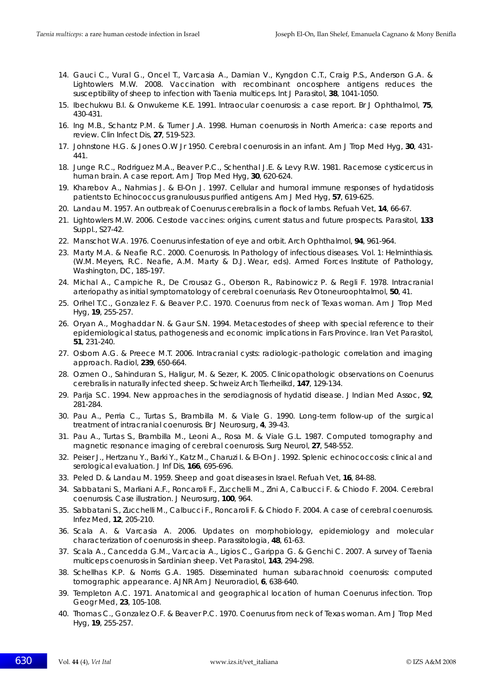- 14. Gauci C., Vural G., Oncel T., Varcasia A., Damian V., Kyngdon C.T., Craig P.S., Anderson G.A. & Lightowlers M.W. 2008. Vaccination with recombinant oncosphere antigens reduces the susceptibility of sheep to infection with *Taenia multiceps*. *Int J Parasitol*, **38**, 1041-1050.
- 15. Ibechukwu B.I. & Onwukeme K.E. 1991. Intraocular coenurosis: a case report. *Br J Ophthalmol*, **75**, 430-431.
- 16. Ing M.B., Schantz P.M. & Turner J.A. 1998. Human coenurosis in North America: case reports and review. *Clin Infect Dis*, **27**, 519-523.
- 17. Johnstone H.G. & Jones O.W Jr 1950. Cerebral coenurosis in an infant. *Am J Trop Med Hyg*, **30**, 431- 441.
- 18. Junge R.C., Rodriguez M.A., Beaver P.C., Schenthal J.E. & Levy R.W. 1981. Racemose cysticercus in human brain. A case report. *Am J Trop Med Hyg*, **30**, 620-624.
- 19. Kharebov A., Nahmias J. & El-On J. 1997. Cellular and humoral immune responses of hydatidosis patients to *Echinococcus granulousus* purified antigens. *Am J Med Hyg*, **57**, 619-625.
- 20. Landau M. 1957. An outbreak of *Coenurus cerebralis* in a flock of lambs. *Refuah Vet*, **14**, 66-67.
- 21. Lightowlers M.W. 2006. Cestode vaccines: origins, current status and future prospects. *Parasitol*, **133** Suppl., S27-42.
- 22. Manschot W.A. 1976. *Coenurus* infestation of eye and orbit. *Arch Ophthalmol*, **94**, 961-964.
- 23. Marty M.A. & Neafie R.C. 2000. Coenurosis. *In* Pathology of infectious diseases. Vol. 1: Helminthiasis. (W.M. Meyers, R.C. Neafie, A.M. Marty & D.J. Wear, eds). Armed Forces Institute of Pathology, Washington, DC, 185-197.
- 24. Michal A., Campiche R., De Crousaz G., Oberson R., Rabinowicz P. & Regli F. 1978. Intracranial arteriopathy as initial symptomatology of cerebral coenuriasis. *Rev Otoneuroophtalmol*, **50**, 41.
- 25. Orihel T.C., Gonzalez F. & Beaver P.C. 1970. *Coenurus* from neck of Texas woman. *Am J Trop Med Hyg*, **19**, 255-257.
- 26. Oryan A., Moghaddar N. & Gaur S.N. 1994. Metacestodes of sheep with special reference to their epidemiological status, pathogenesis and economic implications in Fars Province. *Iran Vet Parasitol*, **51**, 231-240.
- 27. Osborn A.G. & Preece M.T. 2006. Intracranial cysts: radiologic-pathologic correlation and imaging approach. *Radiol*, **239**, 650-664.
- 28. Ozmen O., Sahinduran S., Haligur, M. & Sezer, K. 2005. Clinicopathologic observations on *Coenurus cerebralis* in naturally infected sheep. *Schweiz Arch Tierheilkd*, **147**, 129-134.
- 29. Parija S.C. 1994. New approaches in the serodiagnosis of hydatid disease. *J Indian Med Assoc*, **92**, 281-284.
- 30. Pau A., Perria C., Turtas S., Brambilla M. & Viale G. 1990. Long-term follow-up of the surgical treatment of intracranial coenurosis. *Br J Neurosurg*, **4**, 39-43.
- 31. Pau A., Turtas S., Brambilla M., Leoni A., Rosa M. & Viale G.L. 1987. Computed tomography and magnetic resonance imaging of cerebral coenurosis. *Surg Neurol*, **27**, 548-552.
- 32. Peiser J., Hertzanu Y., Barki Y., Katz M., Charuzi I. & El-On J. 1992. Splenic echinococcosis: clinical and serological evaluation. *J Inf Dis*, **166**, 695-696.
- 33. Peled D. & Landau M. 1959. Sheep and goat diseases in Israel. *Refuah Vet*, **16**, 84-88.
- 34. Sabbatani S., Marliani A.F., Roncaroli F., Zucchelli M., Zini A, Calbucci F. & Chiodo F. 2004. Cerebral coenurosis. Case illustration. *J Neurosurg*, **100**, 964.
- 35. Sabbatani S., Zucchelli M., Calbucci F., Roncaroli F. & Chiodo F. 2004. A case of cerebral coenurosis. *Infez Med*, **12**, 205-210.
- 36. Scala A. & Varcasia A. 2006. Updates on morphobiology, epidemiology and molecular characterization of coenurosis in sheep. *Parassitologia*, **48**, 61-63.
- 37. Scala A., Cancedda G.M., Varcacia A., Ligios C., Garippa G. & Genchi C. 2007. A survey of *Taenia multiceps* coenurosis in Sardinian sheep. *Vet Parasitol*, **143**, 294-298.
- 38. Schellhas K.P. & Norris G.A. 1985. Disseminated human subarachnoid coenurosis: computed tomographic appearance. *AJNR Am J Neuroradiol*, **6**, 638-640.
- 39. Templeton A.C. 1971. Anatomical and geographical location of human *Coenurus* infection. *Trop Geogr Med*, **23**, 105-108.
- 40. Thomas C., Gonzalez O.F. & Beaver P.C. 1970. *Coenurus* from neck of Texas woman. *Am J Trop Med Hyg*, **19**, 255-257.